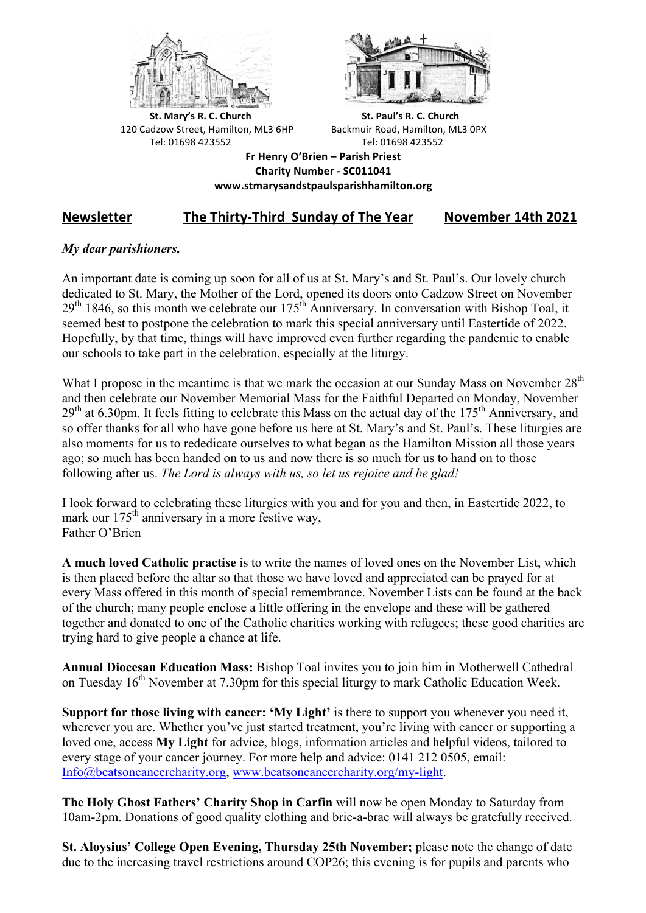



**St.** Mary's R. C. Church St. Paul's R. C. Church 120 Cadzow Street, Hamilton, ML3 6HP Backmuir Road, Hamilton, ML3 0PX Tel: 01698 423552 Tel: 01698 423552

**Fr Henry O'Brien – Parish Priest Charity Number - SC011041 www.stmarysandstpaulsparishhamilton.org**

# Newsletter The Thirty-Third Sunday of The Year November 14th 2021

## *My dear parishioners,*

An important date is coming up soon for all of us at St. Mary's and St. Paul's. Our lovely church dedicated to St. Mary, the Mother of the Lord, opened its doors onto Cadzow Street on November  $29<sup>th</sup> 1846$ , so this month we celebrate our  $175<sup>th</sup>$  Anniversary. In conversation with Bishop Toal, it seemed best to postpone the celebration to mark this special anniversary until Eastertide of 2022. Hopefully, by that time, things will have improved even further regarding the pandemic to enable our schools to take part in the celebration, especially at the liturgy.

What I propose in the meantime is that we mark the occasion at our Sunday Mass on November  $28<sup>th</sup>$ and then celebrate our November Memorial Mass for the Faithful Departed on Monday, November  $29<sup>th</sup>$  at 6.30pm. It feels fitting to celebrate this Mass on the actual day of the 175<sup>th</sup> Anniversary, and so offer thanks for all who have gone before us here at St. Mary's and St. Paul's. These liturgies are also moments for us to rededicate ourselves to what began as the Hamilton Mission all those years ago; so much has been handed on to us and now there is so much for us to hand on to those following after us. *The Lord is always with us, so let us rejoice and be glad!*

I look forward to celebrating these liturgies with you and for you and then, in Eastertide 2022, to mark our 175<sup>th</sup> anniversary in a more festive way, Father O'Brien

**A much loved Catholic practise** is to write the names of loved ones on the November List, which is then placed before the altar so that those we have loved and appreciated can be prayed for at every Mass offered in this month of special remembrance. November Lists can be found at the back of the church; many people enclose a little offering in the envelope and these will be gathered together and donated to one of the Catholic charities working with refugees; these good charities are trying hard to give people a chance at life.

**Annual Diocesan Education Mass:** Bishop Toal invites you to join him in Motherwell Cathedral on Tuesday 16<sup>th</sup> November at 7.30pm for this special liturgy to mark Catholic Education Week.

**Support for those living with cancer: 'My Light'** is there to support you whenever you need it, wherever you are. Whether you've just started treatment, you're living with cancer or supporting a loved one, access **My Light** for advice, blogs, information articles and helpful videos, tailored to every stage of your cancer journey. For more help and advice: 0141 212 0505, email: Info@beatsoncancercharity.org, www.beatsoncancercharity.org/my-light.

**The Holy Ghost Fathers' Charity Shop in Carfin** will now be open Monday to Saturday from 10am-2pm. Donations of good quality clothing and bric-a-brac will always be gratefully received.

**St. Aloysius' College Open Evening, Thursday 25th November;** please note the change of date due to the increasing travel restrictions around COP26; this evening is for pupils and parents who